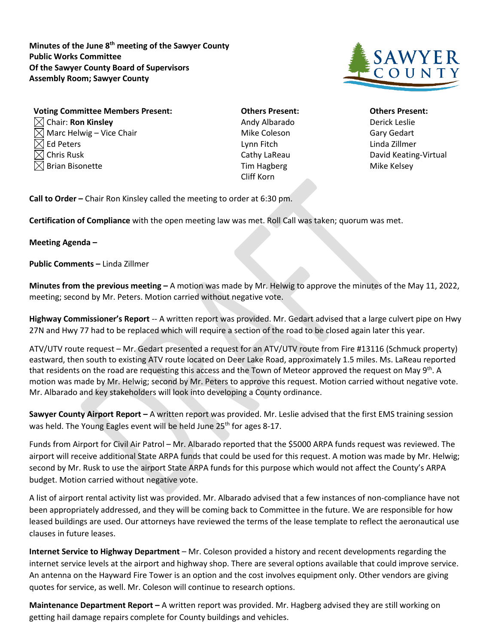**Minutes of the June 8th meeting of the Sawyer County Public Works Committee Of the Sawyer County Board of Supervisors Assembly Room; Sawyer County**



| <b>Voting Committee Members Present:</b> |
|------------------------------------------|
| $\boxtimes$ Chair: Ron Kinsley           |
| $\boxtimes$ Marc Helwig – Vice Chair     |
| $\boxtimes$ Ed Peters                    |
| $\boxtimes$ Chris Rusk                   |
| $\boxtimes$ Brian Bisonette              |
|                                          |

Andy Albarado **Derick Leslie** Mike Coleson Gary Gedart Ed Peters Lynn Fitch Linda Zillmer Tim Hagberg **Mike Kelsey** Cliff Korn

## **Vothers Present: Committee Committee Committee Others Present:** Cathy LaReau David Keating-Virtual

**Call to Order –** Chair Ron Kinsley called the meeting to order at 6:30 pm.

**Certification of Compliance** with the open meeting law was met. Roll Call was taken; quorum was met.

## **Meeting Agenda –**

**Public Comments –** Linda Zillmer

**Minutes from the previous meeting –** A motion was made by Mr. Helwig to approve the minutes of the May 11, 2022, meeting; second by Mr. Peters. Motion carried without negative vote.

**Highway Commissioner's Report** -- A written report was provided. Mr. Gedart advised that a large culvert pipe on Hwy 27N and Hwy 77 had to be replaced which will require a section of the road to be closed again later this year.

ATV/UTV route request – Mr. Gedart presented a request for an ATV/UTV route from Fire #13116 (Schmuck property) eastward, then south to existing ATV route located on Deer Lake Road, approximately 1.5 miles. Ms. LaReau reported that residents on the road are requesting this access and the Town of Meteor approved the request on May 9<sup>th</sup>. A motion was made by Mr. Helwig; second by Mr. Peters to approve this request. Motion carried without negative vote. Mr. Albarado and key stakeholders will look into developing a County ordinance.

**Sawyer County Airport Report –** A written report was provided. Mr. Leslie advised that the first EMS training session was held. The Young Eagles event will be held June 25<sup>th</sup> for ages 8-17.

Funds from Airport for Civil Air Patrol – Mr. Albarado reported that the \$5000 ARPA funds request was reviewed. The airport will receive additional State ARPA funds that could be used for this request. A motion was made by Mr. Helwig; second by Mr. Rusk to use the airport State ARPA funds for this purpose which would not affect the County's ARPA budget. Motion carried without negative vote.

A list of airport rental activity list was provided. Mr. Albarado advised that a few instances of non-compliance have not been appropriately addressed, and they will be coming back to Committee in the future. We are responsible for how leased buildings are used. Our attorneys have reviewed the terms of the lease template to reflect the aeronautical use clauses in future leases.

**Internet Service to Highway Department** – Mr. Coleson provided a history and recent developments regarding the internet service levels at the airport and highway shop. There are several options available that could improve service. An antenna on the Hayward Fire Tower is an option and the cost involves equipment only. Other vendors are giving quotes for service, as well. Mr. Coleson will continue to research options.

**Maintenance Department Report –** A written report was provided. Mr. Hagberg advised they are still working on getting hail damage repairs complete for County buildings and vehicles.